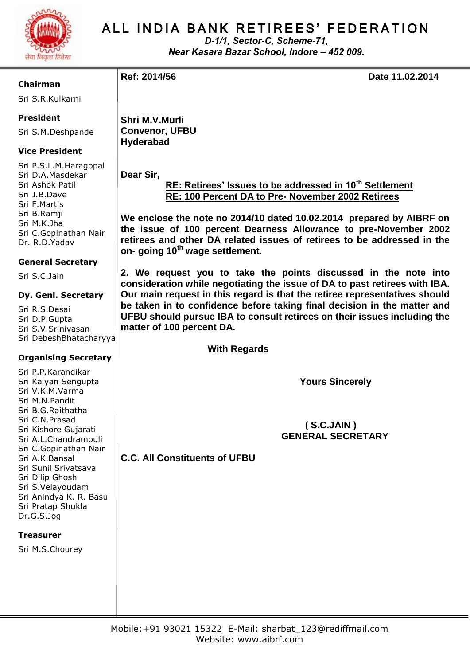

# ALL INDIA BANK RETIREES' FEDERATION

*D-1/1, Sector-C, Scheme-71, Near Kasara Bazar School, Indore – 452 009.*

**Chairman**

Sri S.R.Kulkarni

#### **President**

Sri S.M.Deshpande

### **Vice President**

Sri P.S.L.M.Haragopal Sri D.A.Masdekar Sri Ashok Patil Sri J.B.Dave Sri F.Martis Sri B.Ramji Sri M.K.Jha Sri C.Gopinathan Nair Dr. R.D.Yadav

#### **General Secretary**

Sri S.C.Jain

#### **Dy. Genl. Secretary**

Sri R.S.Desai Sri D.P.Gupta Sri S.V.Srinivasan Sri DebeshBhatacharyya

#### **Organising Secretary**

Sri P.P.Karandikar Sri Kalyan Sengupta Sri V.K.M.Varma Sri M.N.Pandit Sri B.G.Raithatha Sri C.N.Prasad Sri Kishore Gujarati Sri A.L.Chandramouli Sri C.Gopinathan Nair Sri A.K.Bansal Sri Sunil Srivatsava Sri Dilip Ghosh Sri S.Velayoudam Sri Anindya K. R. Basu Sri Pratap Shukla Dr.G.S.Jog

#### **Treasurer**

Sri M.S.Chourey

**Ref: 2014/56 Date 11.02.2014**

**Shri M.V.Murli Convenor, UFBU Hyderabad**

**Dear Sir,**

 **RE: Retirees' Issues to be addressed in 10th Settlement RE: 100 Percent DA to Pre- November 2002 Retirees**

**We enclose the note no 2014/10 dated 10.02.2014 prepared by AIBRF on the issue of 100 percent Dearness Allowance to pre-November 2002 retirees and other DA related issues of retirees to be addressed in the on- going 10th wage settlement.**

**2. We request you to take the points discussed in the note into consideration while negotiating the issue of DA to past retirees with IBA. Our main request in this regard is that the retiree representatives should be taken in to confidence before taking final decision in the matter and UFBU should pursue IBA to consult retirees on their issues including the matter of 100 percent DA.**

 **With Regards**

 **Yours Sincerely**

 **( S.C.JAIN ) GENERAL SECRETARY**

**C.C. All Constituents of UFBU**